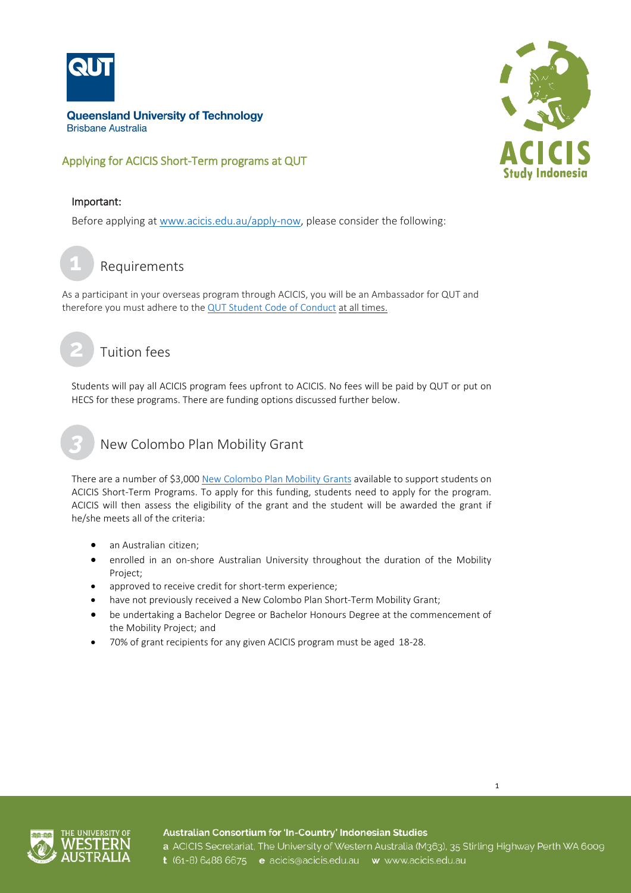

## Applying for ACICIS Short-Term programs at QUT



#### Important:

Before applying at [www.acicis.edu.au/apply-now,](http://www.acicis.edu.au/apply-now) please consider the following:

Requirements **1**

As a participant in your overseas program through ACICIS, you will be an Ambassador for QUT and therefore you must adhere to the [QUT Student Code of Conduct](http://www.mopp.qut.edu.au/E/E_02_01.jsp) at all times.

# Tuition fees

Students will pay all ACICIS program fees upfront to ACICIS. No fees will be paid by QUT or put on HECS for these programs. There are funding options discussed further below.

# New Colombo Plan Mobility Grant

There are a number of \$3,00[0 New Colombo Plan Mobility Grants](http://www.acicis.edu.au/study-in-indonesia/acicis-new-colombo-plan-mobility-program-funding/) available to support students on ACICIS Short-Term Programs. To apply for this funding, students need to apply for the program. ACICIS will then assess the eligibility of the grant and the student will be awarded the grant if he/she meets all of the criteria:

- an Australian citizen;
- enrolled in an on-shore Australian University throughout the duration of the Mobility Project;
- approved to receive credit for short-term experience;
- have not previously received a New Colombo Plan Short-Term Mobility Grant;
- be undertaking a Bachelor Degree or Bachelor Honours Degree at the commencement of the Mobility Project; and
- 70% of grant recipients for any given ACICIS program must be aged 18-28.



Australian Consortium for 'In-Country' Indonesian Studies a ACICIS Secretariat, The University of Western Australia (M363), 35 Stirling Highway Perth WA 6009 t (61-8) 6488 6675 e acicis@acicis.edu.au w www.acicis.edu.au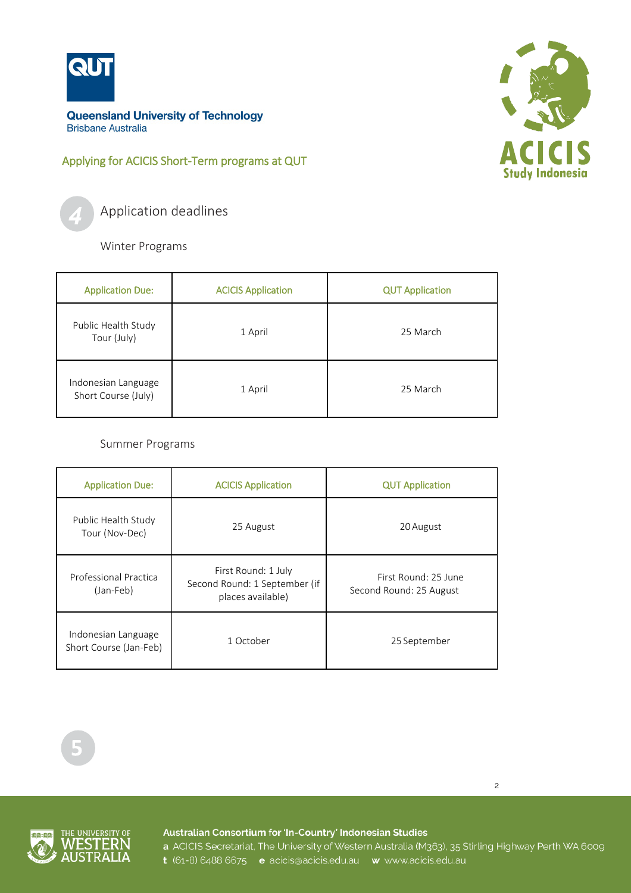

## Applying for ACICIS Short-Term programs at QUT



Application deadlines

Winter Programs

| <b>Application Due:</b>                    | <b>ACICIS Application</b> | <b>QUT Application</b> |
|--------------------------------------------|---------------------------|------------------------|
| Public Health Study<br>Tour (July)         | 1 April                   | 25 March               |
| Indonesian Language<br>Short Course (July) | 1 April                   | 25 March               |

Summer Programs

| <b>Application Due:</b>                       | <b>ACICIS Application</b>                                                 | <b>QUT Application</b>                          |
|-----------------------------------------------|---------------------------------------------------------------------------|-------------------------------------------------|
| Public Health Study<br>Tour (Nov-Dec)         | 25 August                                                                 | 20 August                                       |
| Professional Practica<br>(Jan-Feb)            | First Round: 1 July<br>Second Round: 1 September (if<br>places available) | First Round: 25 June<br>Second Round: 25 August |
| Indonesian Language<br>Short Course (Jan-Feb) | 1 October                                                                 | 25 September                                    |



Australian Consortium for 'In-Country' Indonesian Studies

a ACICIS Secretariat, The University of Western Australia (M363), 35 Stirling Highway Perth WA 6009 t (61-8) 6488 6675 e acicis@acicis.edu.au w www.acicis.edu.au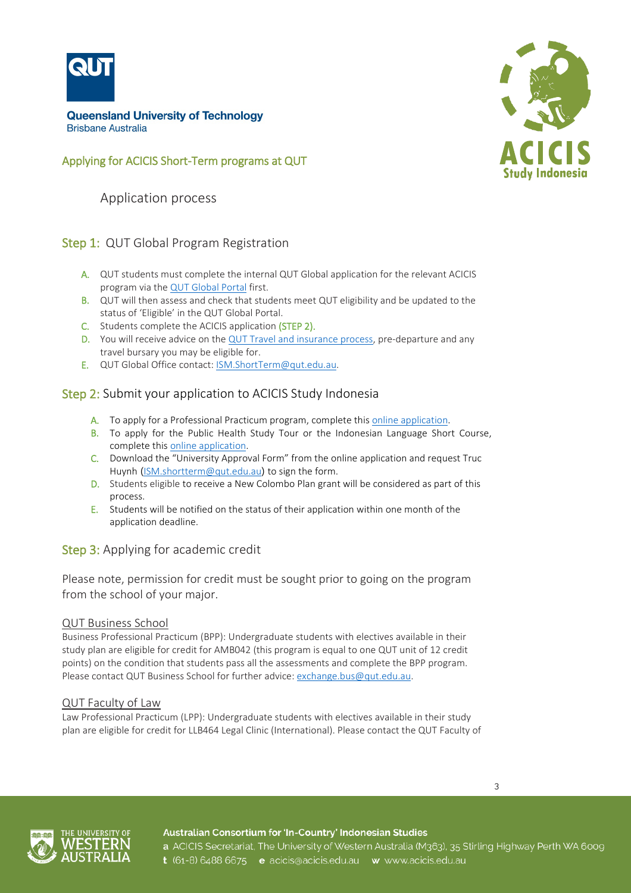

## Applying for ACICIS Short-Term programs at QUT

Application process

## Step 1: QUT Global Program Registration

- A. QUT students must complete the internal QUT Global application for the relevant ACICIS program via th[e QUT Global Portal](https://qutvirtual2.qut.edu.au/ismms-core/outboundStp/search) first.
- B. QUT will then assess and check that students meet QUT eligibility and be updated to the status of 'Eligible' in the QUT Global Portal.
- C. Students complete the ACICIS application (STEP 2).
- D. You will receive advice on the  $QUT$  Travel and insurance process, pre-departure and any travel bursary you may be eligible for.
- E. QUT Global Office contact: [ISM.ShortTerm@qut.edu.au.](mailto:ISM.ShortTerm@qut.edu.au)

## Step 2: Submit your application to ACICIS Study Indonesia

- A. To apply for a Professional Practicum program, complete this [online application.](https://fs9.formsite.com/acicis/form41/form_login.html)
- B. To apply for the Public Health Study Tour or the Indonesian Language Short Course, complete thi[s online application.](https://fs9.formsite.com/acicis/form47/form_login.html)
- C. Download the "University Approval Form" from the online application and request Truc Huynh ([ISM.shortterm@qut.edu.au](mailto:ISM.shortterm@qut.edu.au)) to sign the form.
- D. Students eligible to receive a New Colombo Plan grant will be considered as part of this process.
- E. Students will be notified on the status of their application within one month of the application deadline.

## Step 3: Applying for academic credit

Please note, permission for credit must be sought prior to going on the program from the school of your major.

#### QUT Business School

Business Professional Practicum (BPP): Undergraduate students with electives available in their study plan are eligible for credit for AMB042 (this program is equal to one QUT unit of 12 credit points) on the condition that students pass all the assessments and complete the BPP program. Please contact QUT Business School for further advice: [exchange.bus@qut.edu.au.](mailto:exchange.bus@qut.edu.au)

#### QUT Faculty of Law

Law Professional Practicum (LPP): Undergraduate students with electives available in their study plan are eligible for credit for LLB464 Legal Clinic (International). Please contact the QUT Faculty of







#### Australian Consortium for 'In-Country' Indonesian Studies

a ACICIS Secretariat, The University of Western Australia (M363), 35 Stirling Highway Perth WA 6009 t (61-8) 6488 6675 e acicis@acicis.edu.au w www.acicis.edu.au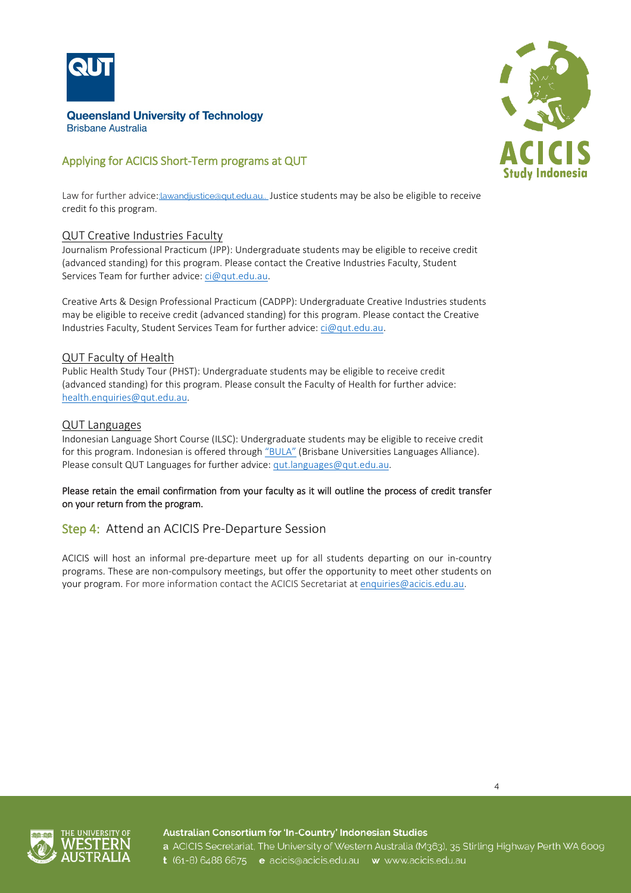

## Applying for ACICIS Short-Term programs at QUT

Law for further advice:: lawandjustice@qut.edu.au.. Justice students may be also be eligible to receive credit fo this program.

#### QUT Creative Industries Faculty

Journalism Professional Practicum (JPP): Undergraduate students may be eligible to receive credit (advanced standing) for this program. Please contact the Creative Industries Faculty, Student Services Team for further advice[: ci@qut.edu.au.](mailto:ci@qut.edu.au)

Creative Arts & Design Professional Practicum (CADPP): Undergraduate Creative Industries students may be eligible to receive credit (advanced standing) for this program. Please contact the Creative Industries Faculty, Student Services Team for further advice[: ci@qut.edu.au.](mailto:ci@qut.edu.au)

#### QUT Faculty of Health

Public Health Study Tour (PHST): Undergraduate students may be eligible to receive credit (advanced standing) for this program. Please consult the Faculty of Health for further advice: [health.enquiries@qut.edu.au.](mailto:health.enquiries@qut.edu.au)

#### QUT Languages

Indonesian Language Short Course (ILSC): Undergraduate students may be eligible to receive credit for this program. Indonesian is offered through ["BULA"](https://www.bula.edu.au/) (Brisbane Universities Languages Alliance). Please consult QUT Languages for further advice: [qut.languages@qut.edu.au.](mailto:qut.languages@qut.edu.au)

#### Please retain the email confirmation from your faculty as it will outline the process of credit transfer on your return from the program.

#### Step 4: Attend an ACICIS Pre-Departure Session

ACICIS will host an informal pre-departure meet up for all students departing on our in-country programs. These are non-compulsory meetings, but offer the opportunity to meet other students on your program. For more information contact the ACICIS Secretariat at [enquiries@acicis.edu.au.](mailto:enquiries@acicis.edu.au)



Australian Consortium for 'In-Country' Indonesian Studies a ACICIS Secretariat, The University of Western Australia (M363), 35 Stirling Highway Perth WA 6009 t (61-8) 6488 6675 e acicis@acicis.edu.au w www.acicis.edu.au